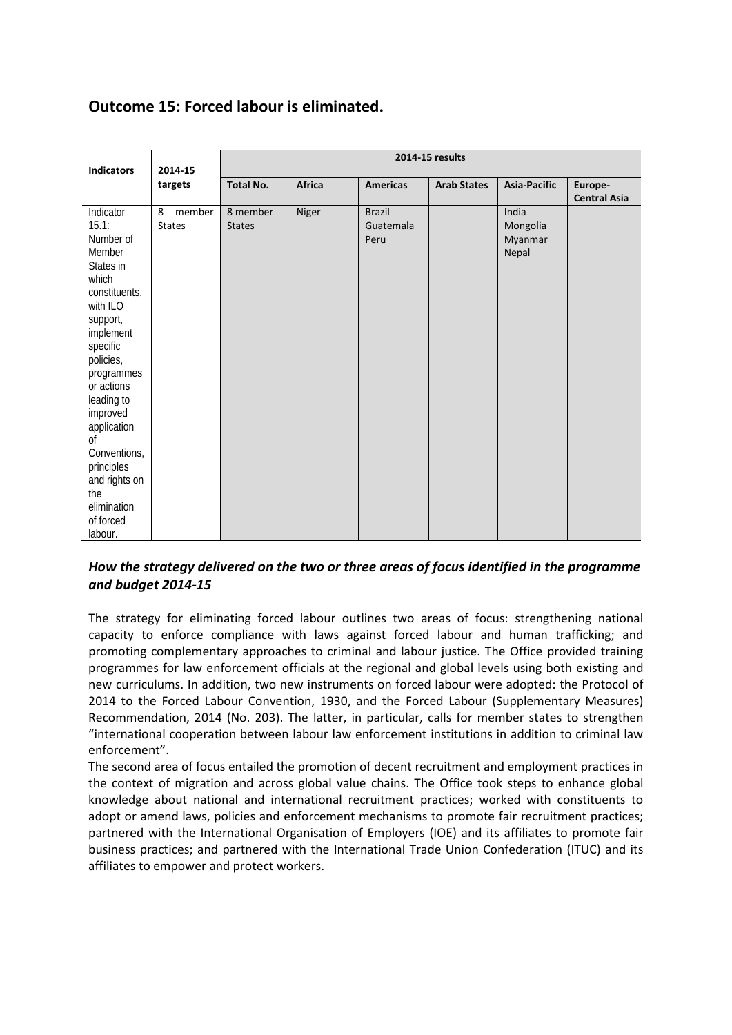# **Outcome 15: Forced labour is eliminated.**

| <b>Indicators</b>                                                                                                                                                                                                                                                                                                      | 2014-15<br>targets           | 2014-15 results           |        |                                    |                    |                                       |                                |  |
|------------------------------------------------------------------------------------------------------------------------------------------------------------------------------------------------------------------------------------------------------------------------------------------------------------------------|------------------------------|---------------------------|--------|------------------------------------|--------------------|---------------------------------------|--------------------------------|--|
|                                                                                                                                                                                                                                                                                                                        |                              | <b>Total No.</b>          | Africa | <b>Americas</b>                    | <b>Arab States</b> | <b>Asia-Pacific</b>                   | Europe-<br><b>Central Asia</b> |  |
| Indicator<br>15.1:<br>Number of<br>Member<br>States in<br>which<br>constituents,<br>with ILO<br>support,<br>implement<br>specific<br>policies,<br>programmes<br>or actions<br>leading to<br>improved<br>application<br>Ωf<br>Conventions,<br>principles<br>and rights on<br>the<br>elimination<br>of forced<br>labour. | 8<br>member<br><b>States</b> | 8 member<br><b>States</b> | Niger  | <b>Brazil</b><br>Guatemala<br>Peru |                    | India<br>Mongolia<br>Myanmar<br>Nepal |                                |  |

## *How the strategy delivered on the two or three areas of focus identified in the programme and budget 2014-15*

The strategy for eliminating forced labour outlines two areas of focus: strengthening national capacity to enforce compliance with laws against forced labour and human trafficking; and promoting complementary approaches to criminal and labour justice. The Office provided training programmes for law enforcement officials at the regional and global levels using both existing and new curriculums. In addition, two new instruments on forced labour were adopted: the Protocol of 2014 to the Forced Labour Convention, 1930, and the Forced Labour (Supplementary Measures) Recommendation, 2014 (No. 203). The latter, in particular, calls for member states to strengthen "international cooperation between labour law enforcement institutions in addition to criminal law enforcement".

The second area of focus entailed the promotion of decent recruitment and employment practices in the context of migration and across global value chains. The Office took steps to enhance global knowledge about national and international recruitment practices; worked with constituents to adopt or amend laws, policies and enforcement mechanisms to promote fair recruitment practices; partnered with the International Organisation of Employers (IOE) and its affiliates to promote fair business practices; and partnered with the International Trade Union Confederation (ITUC) and its affiliates to empower and protect workers.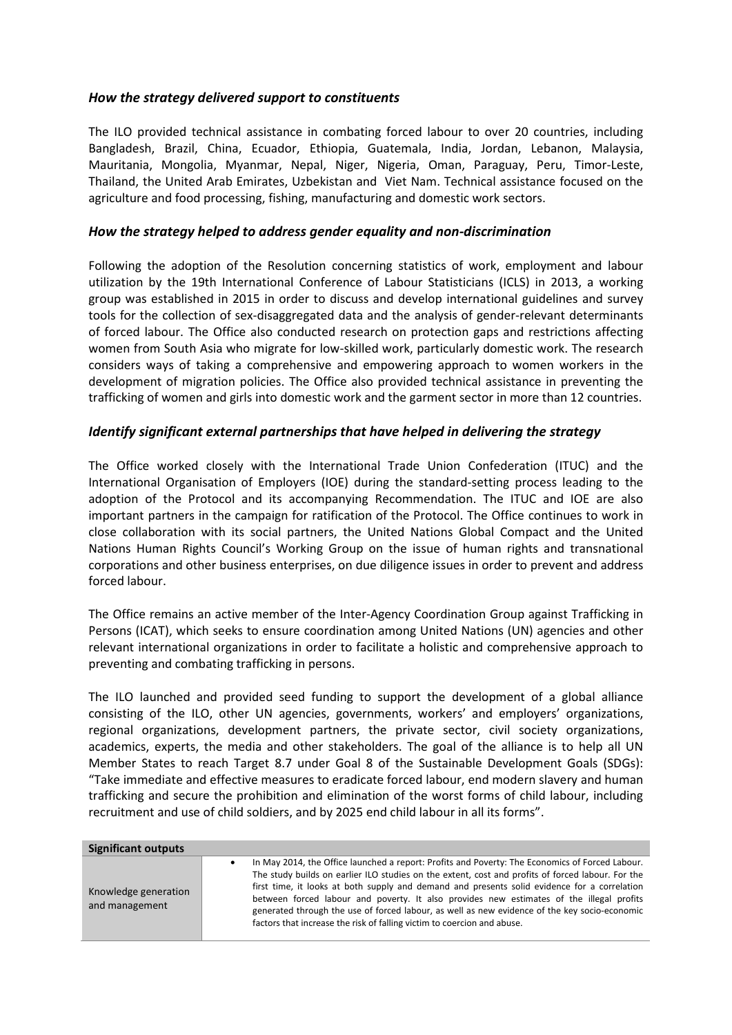#### *How the strategy delivered support to constituents*

The ILO provided technical assistance in combating forced labour to over 20 countries, including Bangladesh, Brazil, China, Ecuador, Ethiopia, Guatemala, India, Jordan, Lebanon, Malaysia, Mauritania, Mongolia, Myanmar, Nepal, Niger, Nigeria, Oman, Paraguay, Peru, Timor-Leste, Thailand, the United Arab Emirates, Uzbekistan and Viet Nam. Technical assistance focused on the agriculture and food processing, fishing, manufacturing and domestic work sectors.

#### *How the strategy helped to address gender equality and non-discrimination*

Following the adoption of the Resolution concerning statistics of work, employment and labour utilization by the 19th International Conference of Labour Statisticians (ICLS) in 2013, a working group was established in 2015 in order to discuss and develop international guidelines and survey tools for the collection of sex-disaggregated data and the analysis of gender-relevant determinants of forced labour. The Office also conducted research on protection gaps and restrictions affecting women from South Asia who migrate for low-skilled work, particularly domestic work. The research considers ways of taking a comprehensive and empowering approach to women workers in the development of migration policies. The Office also provided technical assistance in preventing the trafficking of women and girls into domestic work and the garment sector in more than 12 countries.

### *Identify significant external partnerships that have helped in delivering the strategy*

The Office worked closely with the International Trade Union Confederation (ITUC) and the International Organisation of Employers (IOE) during the standard-setting process leading to the adoption of the Protocol and its accompanying Recommendation. The ITUC and IOE are also important partners in the campaign for ratification of the Protocol. The Office continues to work in close collaboration with its social partners, the United Nations Global Compact and the United Nations Human Rights Council's Working Group on the issue of human rights and transnational corporations and other business enterprises, on due diligence issues in order to prevent and address forced labour.

The Office remains an active member of the Inter-Agency Coordination Group against Trafficking in Persons (ICAT), which seeks to ensure coordination among United Nations (UN) agencies and other relevant international organizations in order to facilitate a holistic and comprehensive approach to preventing and combating trafficking in persons.

The ILO launched and provided seed funding to support the development of a global alliance consisting of the ILO, other UN agencies, governments, workers' and employers' organizations, regional organizations, development partners, the private sector, civil society organizations, academics, experts, the media and other stakeholders. The goal of the alliance is to help all UN Member States to reach Target 8.7 under Goal 8 of the Sustainable Development Goals (SDGs): "Take immediate and effective measures to eradicate forced labour, end modern slavery and human trafficking and secure the prohibition and elimination of the worst forms of child labour, including recruitment and use of child soldiers, and by 2025 end child labour in all its forms".

| <b>Significant outputs</b>             |                                                                                                                                                                                                                                                                                                                                                                                                                                                                                                                                                                                   |
|----------------------------------------|-----------------------------------------------------------------------------------------------------------------------------------------------------------------------------------------------------------------------------------------------------------------------------------------------------------------------------------------------------------------------------------------------------------------------------------------------------------------------------------------------------------------------------------------------------------------------------------|
| Knowledge generation<br>and management | In May 2014, the Office launched a report: Profits and Poverty: The Economics of Forced Labour.<br>٠<br>The study builds on earlier ILO studies on the extent, cost and profits of forced labour. For the<br>first time, it looks at both supply and demand and presents solid evidence for a correlation<br>between forced labour and poverty. It also provides new estimates of the illegal profits<br>generated through the use of forced labour, as well as new evidence of the key socio-economic<br>factors that increase the risk of falling victim to coercion and abuse. |